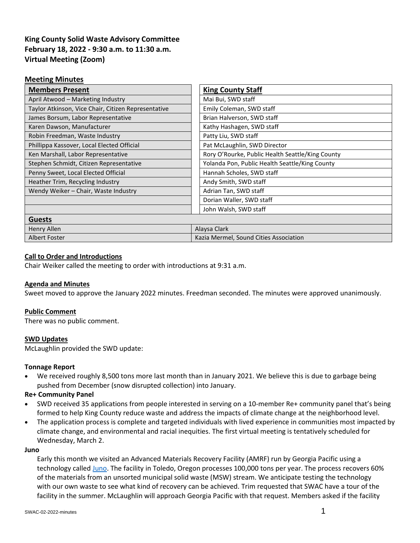# **King County Solid Waste Advisory Committee February 18, 2022 - 9:30 a.m. to 11:30 a.m. Virtual Meeting (Zoom)**

### **Meeting Minutes**

| <b>Members Present</b>                              | <b>King County Staff</b>                         |
|-----------------------------------------------------|--------------------------------------------------|
| April Atwood - Marketing Industry                   | Mai Bui, SWD staff                               |
| Taylor Atkinson, Vice Chair, Citizen Representative | Emily Coleman, SWD staff                         |
| James Borsum, Labor Representative                  | Brian Halverson, SWD staff                       |
| Karen Dawson, Manufacturer                          | Kathy Hashagen, SWD staff                        |
| Robin Freedman, Waste Industry                      | Patty Liu, SWD staff                             |
| Phillippa Kassover, Local Elected Official          | Pat McLaughlin, SWD Director                     |
| Ken Marshall, Labor Representative                  | Rory O'Rourke, Public Health Seattle/King County |
| Stephen Schmidt, Citizen Representative             | Yolanda Pon, Public Health Seattle/King County   |
| Penny Sweet, Local Elected Official                 | Hannah Scholes, SWD staff                        |
| Heather Trim, Recycling Industry                    | Andy Smith, SWD staff                            |
| Wendy Weiker - Chair, Waste Industry                | Adrian Tan, SWD staff                            |
|                                                     | Dorian Waller, SWD staff                         |
|                                                     | John Walsh, SWD staff                            |
| <b>Guests</b>                                       |                                                  |
| Henry Allen                                         | Alaysa Clark                                     |
| <b>Albert Foster</b>                                | Kazia Mermel, Sound Cities Association           |

### **Call to Order and Introductions**

Chair Weiker called the meeting to order with introductions at 9:31 a.m.

# **Agenda and Minutes**

Sweet moved to approve the January 2022 minutes. Freedman seconded. The minutes were approved unanimously.

### **Public Comment**

There was no public comment.

# **SWD Updates**

McLaughlin provided the SWD update:

# **Tonnage Report**

• We received roughly 8,500 tons more last month than in January 2021. We believe this is due to garbage being pushed from December (snow disrupted collection) into January.

# **Re+ Community Panel**

- SWD received 35 applications from people interested in serving on a 10-member Re+ community panel that's being formed to help King County reduce waste and address the impacts of climate change at the neighborhood level.
- The application process is complete and targeted individuals with lived experience in communities most impacted by climate change, and environmental and racial inequities. The first virtual meeting is tentatively scheduled for Wednesday, March 2.

### **Juno**

Early this month we visited an Advanced Materials Recovery Facility (AMRF) run by Georgia Pacific using a technology called [Juno.](https://www.gppackaging.com/juno/) The facility in Toledo, Oregon processes 100,000 tons per year. The process recovers 60% of the materials from an unsorted municipal solid waste (MSW) stream. We anticipate testing the technology with our own waste to see what kind of recovery can be achieved. Trim requested that SWAC have a tour of the facility in the summer. McLaughlin will approach Georgia Pacific with that request. Members asked if the facility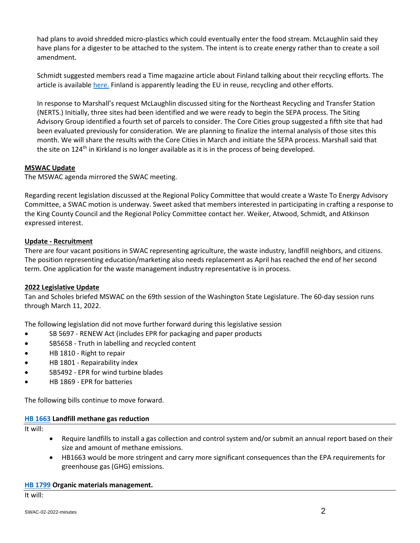had plans to avoid shredded micro-plastics which could eventually enter the food stream. McLaughlin said they have plans for a digester to be attached to the system. The intent is to create energy rather than to create a soil amendment.

Schmidt suggested members read a Time magazine article about Finland talking about their recycling efforts. The article is available [here.](https://time.com/6132391/finland-end-waste/) Finland is apparently leading the EU in reuse, recycling and other efforts.

In response to Marshall's request McLaughlin discussed siting for the Northeast Recycling and Transfer Station (NERTS.) Initially, three sites had been identified and we were ready to begin the SEPA process. The Siting Advisory Group identified a fourth set of parcels to consider. The Core Cities group suggested a fifth site that had been evaluated previously for consideration. We are planning to finalize the internal analysis of those sites this month. We will share the results with the Core Cities in March and initiate the SEPA process. Marshall said that the site on 124<sup>th</sup> in Kirkland is no longer available as it is in the process of being developed.

# **MSWAC Update**

The MSWAC agenda mirrored the SWAC meeting.

Regarding recent legislation discussed at the Regional Policy Committee that would create a Waste To Energy Advisory Committee, a SWAC motion is underway. Sweet asked that members interested in participating in crafting a response to the King County Council and the Regional Policy Committee contact her. Weiker, Atwood, Schmidt, and Atkinson expressed interest.

# **Update - Recruitment**

There are four vacant positions in SWAC representing agriculture, the waste industry, landfill neighbors, and citizens. The position representing education/marketing also needs replacement as April has reached the end of her second term. One application for the waste management industry representative is in process.

# **2022 Legislative Update**

Tan and Scholes briefed MSWAC on the 69th session of the Washington State Legislature. The 60-day session runs through March 11, 2022.

The following legislation did not move further forward during this legislative session

- SB 5697 RENEW Act (includes EPR for packaging and paper products
- SB5658 Truth in labelling and recycled content
- HB 1810 Right to repair
- HB 1801 Repairability index
- SB5492 EPR for wind turbine blades
- HB 1869 EPR for batteries

The following bills continue to move forward.

# **[HB 1663](https://app.leg.wa.gov/billsummary?billnumber=1663&year=2022) Landfill methane gas reduction**

It will:

- Require landfills to install a gas collection and control system and/or submit an annual report based on their size and amount of methane emissions.
- HB1663 would be more stringent and carry more significant consequences than the EPA requirements for greenhouse gas (GHG) emissions.

### **[HB 1799](https://app.leg.wa.gov/billsummary?BillNumber=1799&Year=2021&Initiative=false) Organic materials management.**

It will: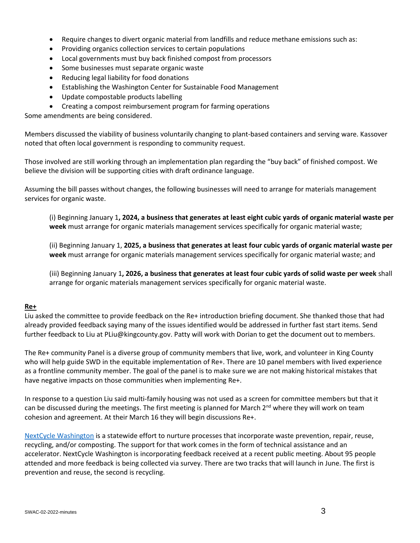- Require changes to divert organic material from landfills and reduce methane emissions such as:
- Providing organics collection services to certain populations
- Local governments must buy back finished compost from processors
- Some businesses must separate organic waste
- Reducing legal liability for food donations
- Establishing the Washington Center for Sustainable Food Management
- Update compostable products labelling
- Creating a compost reimbursement program for farming operations

Some amendments are being considered.

Members discussed the viability of business voluntarily changing to plant-based containers and serving ware. Kassover noted that often local government is responding to community request.

Those involved are still working through an implementation plan regarding the "buy back" of finished compost. We believe the division will be supporting cities with draft ordinance language.

Assuming the bill passes without changes, the following businesses will need to arrange for materials management services for organic waste.

(i) Beginning January 1**, 2024, a business that generates at least eight cubic yards of organic material waste per week** must arrange for organic materials management services specifically for organic material waste;

(ii) Beginning January 1, **2025, a business that generates at least four cubic yards of organic material waste per week** must arrange for organic materials management services specifically for organic material waste; and

(iii) Beginning January 1**, 2026, a business that generates at least four cubic yards of solid waste per week** shall arrange for organic materials management services specifically for organic material waste.

### **Re+**

Liu asked the committee to provide feedback on the Re+ introduction briefing document. She thanked those that had already provided feedback saying many of the issues identified would be addressed in further fast start items. Send further feedback to Liu at [PLiu@kingcounty.gov.](mailto:Plui@kingcounty.gov) Patty will work with Dorian to get the document out to members.

The Re+ community Panel is a diverse group of community members that live, work, and volunteer in King County who will help guide SWD in the equitable implementation of Re+. There are 10 panel members with lived experience as a frontline community member. The goal of the panel is to make sure we are not making historical mistakes that have negative impacts on those communities when implementing Re+.

In response to a question Liu said multi-family housing was not used as a screen for committee members but that it can be discussed during the meetings. The first meeting is planned for March  $2<sup>nd</sup>$  where they will work on team cohesion and agreement. At their March 16 they will begin discussions Re+.

[NextCycle Washington](https://www.nextcyclewashington.com/) is a statewide effort to nurture processes that incorporate waste prevention, repair, reuse, recycling, and/or composting. The support for that work comes in the form of technical assistance and an accelerator. NextCycle Washington is incorporating feedback received at a recent public meeting. About 95 people attended and more feedback is being collected via survey. There are two tracks that will launch in June. The first is prevention and reuse, the second is recycling.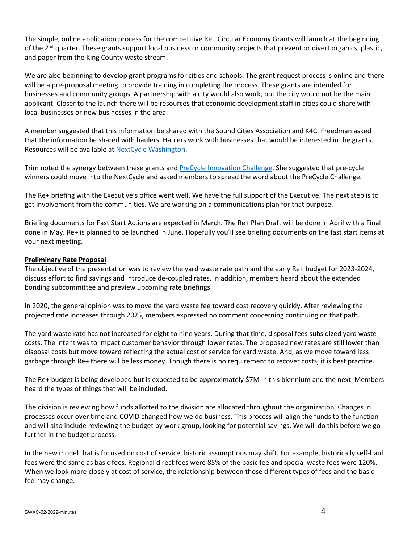The simple, online application process for the competitive Re+ Circular Economy Grants will launch at the beginning of the 2<sup>nd</sup> quarter. These grants support local business or community projects that prevent or divert organics, plastic, and paper from the King County waste stream.

We are also beginning to develop grant programs for cities and schools. The grant request process is online and there will be a pre-proposal meeting to provide training in completing the process. These grants are intended for businesses and community groups. A partnership with a city would also work, but the city would not be the main applicant. Closer to the launch there will be resources that economic development staff in cities could share with local businesses or new businesses in the area.

A member suggested that this information be shared with the Sound Cities Association and K4C. Freedman asked that the information be shared with haulers. Haulers work with businesses that would be interested in the grants. Resources will be available at [NextCycle Washington.](http://www.nextcyclewashington.com/)

Trim noted the synergy between these grants an[d PreCycle Innovation Challenge.](http://www.precyclewa.org/) She suggested that pre-cycle winners could move into the NextCycle and asked members to spread the word about the PreCycle Challenge.

The Re+ briefing with the Executive's office went well. We have the full support of the Executive. The next step is to get involvement from the communities. We are working on a communications plan for that purpose.

Briefing documents for Fast Start Actions are expected in March. The Re+ Plan Draft will be done in April with a Final done in May. Re+ is planned to be launched in June. Hopefully you'll see briefing documents on the fast start items at your next meeting.

# **Preliminary Rate Proposal**

The objective of the presentation was to review the yard waste rate path and the early Re+ budget for 2023-2024, discuss effort to find savings and introduce de-coupled rates. In addition, members heard about the extended bonding subcommittee and preview upcoming rate briefings.

In 2020, the general opinion was to move the yard waste fee toward cost recovery quickly. After reviewing the projected rate increases through 2025, members expressed no comment concerning continuing on that path.

The yard waste rate has not increased for eight to nine years. During that time, disposal fees subsidized yard waste costs. The intent was to impact customer behavior through lower rates. The proposed new rates are still lower than disposal costs but move toward reflecting the actual cost of service for yard waste. And, as we move toward less garbage through Re+ there will be less money. Though there is no requirement to recover costs, it is best practice.

The Re+ budget is being developed but is expected to be approximately \$7M in this biennium and the next. Members heard the types of things that will be included.

The division is reviewing how funds allotted to the division are allocated throughout the organization. Changes in processes occur over time and COVID changed how we do business. This process will align the funds to the function and will also include reviewing the budget by work group, looking for potential savings. We will do this before we go further in the budget process.

In the new model that is focused on cost of service, historic assumptions may shift. For example, historically self-haul fees were the same as basic fees. Regional direct fees were 85% of the basic fee and special waste fees were 120%. When we look more closely at cost of service, the relationship between those different types of fees and the basic fee may change.